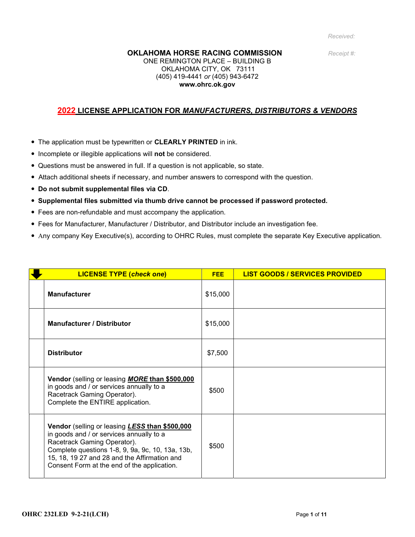#### **OKLAHOMA HORSE RACING COMMISSION** Receipt #:

#### ONE REMINGTON PLACE – BUILDING B OKLAHOMA CITY, OK 73111 (405) 419-4441 or (405) 943-6472 www.ohrc.ok.gov

### 2022 LICENSE APPLICATION FOR MANUFACTURERS, DISTRIBUTORS & VENDORS

- The application must be typewritten or **CLEARLY PRINTED** in ink.
- Incomplete or illegible applications will not be considered.
- Questions must be answered in full. If a question is not applicable, so state.
- Attach additional sheets if necessary, and number answers to correspond with the question.
- Do not submit supplemental files via CD.
- Supplemental files submitted via thumb drive cannot be processed if password protected.
- Fees are non-refundable and must accompany the application.
- Fees for Manufacturer, Manufacturer / Distributor, and Distributor include an investigation fee.
- Any company Key Executive(s), according to OHRC Rules, must complete the separate Key Executive application.

| <b>LICENSE TYPE (check one)</b>                                                                                                                                                                                                                                              | <b>FEE</b> | <b>LIST GOODS / SERVICES PROVIDED</b> |
|------------------------------------------------------------------------------------------------------------------------------------------------------------------------------------------------------------------------------------------------------------------------------|------------|---------------------------------------|
| <b>Manufacturer</b>                                                                                                                                                                                                                                                          | \$15,000   |                                       |
| <b>Manufacturer / Distributor</b>                                                                                                                                                                                                                                            | \$15,000   |                                       |
| <b>Distributor</b>                                                                                                                                                                                                                                                           | \$7,500    |                                       |
| Vendor (selling or leasing <b>MORE than \$500,000</b><br>in goods and / or services annually to a<br>Racetrack Gaming Operator).<br>Complete the ENTIRE application.                                                                                                         | \$500      |                                       |
| Vendor (selling or leasing LESS than \$500,000<br>in goods and / or services annually to a<br>Racetrack Gaming Operator).<br>Complete questions 1-8, 9, 9a, 9c, 10, 13a, 13b,<br>15, 18, 19 27 and 28 and the Affirmation and<br>Consent Form at the end of the application. | \$500      |                                       |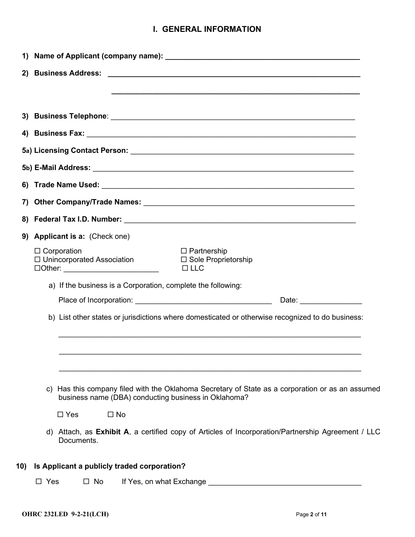## I. GENERAL INFORMATION

| 2)  |                                                                                                                                                                                                                                                                    |  |  |  |  |  |  |
|-----|--------------------------------------------------------------------------------------------------------------------------------------------------------------------------------------------------------------------------------------------------------------------|--|--|--|--|--|--|
|     |                                                                                                                                                                                                                                                                    |  |  |  |  |  |  |
|     |                                                                                                                                                                                                                                                                    |  |  |  |  |  |  |
|     |                                                                                                                                                                                                                                                                    |  |  |  |  |  |  |
|     |                                                                                                                                                                                                                                                                    |  |  |  |  |  |  |
|     |                                                                                                                                                                                                                                                                    |  |  |  |  |  |  |
|     |                                                                                                                                                                                                                                                                    |  |  |  |  |  |  |
|     |                                                                                                                                                                                                                                                                    |  |  |  |  |  |  |
|     |                                                                                                                                                                                                                                                                    |  |  |  |  |  |  |
|     |                                                                                                                                                                                                                                                                    |  |  |  |  |  |  |
| 9)  | Applicant is a: (Check one)                                                                                                                                                                                                                                        |  |  |  |  |  |  |
|     | $\Box$ Corporation<br>$\Box$ Partnership<br>$\Box$ Unincorporated Association<br>□ Sole Proprietorship<br>$\Box$ LLC<br>□Other: ___________________________                                                                                                        |  |  |  |  |  |  |
|     | a) If the business is a Corporation, complete the following:                                                                                                                                                                                                       |  |  |  |  |  |  |
|     | Date: the contract of the contract of the contract of the contract of the contract of the contract of the contract of the contract of the contract of the contract of the contract of the contract of the contract of the cont                                     |  |  |  |  |  |  |
|     | b) List other states or jurisdictions where domesticated or otherwise recognized to do business:                                                                                                                                                                   |  |  |  |  |  |  |
|     |                                                                                                                                                                                                                                                                    |  |  |  |  |  |  |
|     | c) Has this company filed with the Oklahoma Secretary of State as a corporation or as an assumed<br>business name (DBA) conducting business in Oklahoma?                                                                                                           |  |  |  |  |  |  |
|     | $\Box$ Yes<br>$\square$ No                                                                                                                                                                                                                                         |  |  |  |  |  |  |
|     | d) Attach, as Exhibit A, a certified copy of Articles of Incorporation/Partnership Agreement / LLC<br>Documents.                                                                                                                                                   |  |  |  |  |  |  |
| 10) | Is Applicant a publicly traded corporation?                                                                                                                                                                                                                        |  |  |  |  |  |  |
|     | $\Box$ Yes<br>$\square$ No<br>If Yes, on what Exchange <u>example and the set of the set of the set of the set of the set of the set of the set of the set of the set of the set of the set of the set of the set of the set of the set of the set of the set </u> |  |  |  |  |  |  |
|     |                                                                                                                                                                                                                                                                    |  |  |  |  |  |  |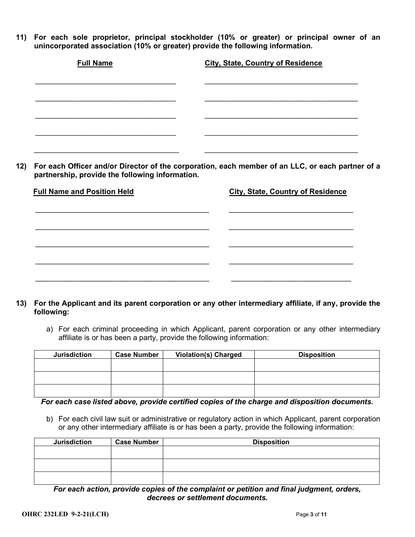11) For each sole proprietor, principal stockholder (10% or greater) or principal owner of an unincorporated association (10% or greater) provide the following information.

| <b>Full Name</b> | <b>City, State, Country of Residence</b> |
|------------------|------------------------------------------|
|                  |                                          |
|                  |                                          |
|                  |                                          |
|                  |                                          |
|                  |                                          |

12) For each Officer and/or Director of the corporation, each member of an LLC, or each partner of a partnership, provide the following information.

| <b>Full Name and Position Held</b> | <b>City, State, Country of Residence</b> |
|------------------------------------|------------------------------------------|
|                                    |                                          |
|                                    |                                          |
|                                    |                                          |
|                                    |                                          |
|                                    |                                          |
|                                    |                                          |

## 13) For the Applicant and its parent corporation or any other intermediary affiliate, if any, provide the following:

a) For each criminal proceeding in which Applicant, parent corporation or any other intermediary affiliate is or has been a party, provide the following information:

| <b>Jurisdiction</b> | <b>Case Number</b> | <b>Violation(s) Charged</b> | <b>Disposition</b> |
|---------------------|--------------------|-----------------------------|--------------------|
|                     |                    |                             |                    |
|                     |                    |                             |                    |
|                     |                    |                             |                    |
|                     |                    |                             |                    |

### For each case listed above, provide certified copies of the charge and disposition documents.

b) For each civil law suit or administrative or regulatory action in which Applicant, parent corporation or any other intermediary affiliate is or has been a party, provide the following information:

| <b>Jurisdiction</b> | <b>Case Number</b> | <b>Disposition</b> |
|---------------------|--------------------|--------------------|
|                     |                    |                    |
|                     |                    |                    |
|                     |                    |                    |
|                     |                    |                    |

For each action, provide copies of the complaint or petition and final judgment, orders, decrees or settlement documents.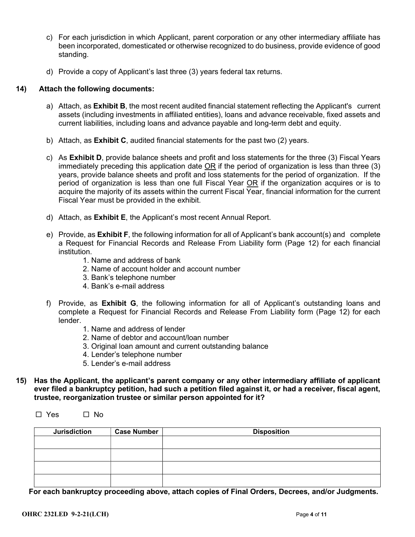- c) For each jurisdiction in which Applicant, parent corporation or any other intermediary affiliate has been incorporated, domesticated or otherwise recognized to do business, provide evidence of good standing.
- d) Provide a copy of Applicant's last three (3) years federal tax returns.

## 14) Attach the following documents:

- a) Attach, as **Exhibit B**, the most recent audited financial statement reflecting the Applicant's current assets (including investments in affiliated entities), loans and advance receivable, fixed assets and current liabilities, including loans and advance payable and long-term debt and equity.
- b) Attach, as **Exhibit C**, audited financial statements for the past two  $(2)$  years.
- c) As Exhibit D, provide balance sheets and profit and loss statements for the three (3) Fiscal Years immediately preceding this application date OR if the period of organization is less than three (3) years, provide balance sheets and profit and loss statements for the period of organization. If the period of organization is less than one full Fiscal Year OR if the organization acquires or is to acquire the majority of its assets within the current Fiscal Year, financial information for the current Fiscal Year must be provided in the exhibit.
- d) Attach, as Exhibit E, the Applicant's most recent Annual Report.
- e) Provide, as Exhibit F, the following information for all of Applicant's bank account(s) and complete a Request for Financial Records and Release From Liability form (Page 12) for each financial institution.
	- 1. Name and address of bank
	- 2. Name of account holder and account number
	- 3. Bank's telephone number
	- 4. Bank's e-mail address
- f) Provide, as Exhibit G, the following information for all of Applicant's outstanding loans and complete a Request for Financial Records and Release From Liability form (Page 12) for each lender.
	- 1. Name and address of lender
	- 2. Name of debtor and account/loan number
	- 3. Original loan amount and current outstanding balance
	- 4. Lender's telephone number
	- 5. Lender's e-mail address
- 15) Has the Applicant, the applicant's parent company or any other intermediary affiliate of applicant ever filed a bankruptcy petition, had such a petition filed against it, or had a receiver, fiscal agent, trustee, reorganization trustee or similar person appointed for it?

| $\Box$ Yes | □ No |
|------------|------|
|------------|------|

| <b>Jurisdiction</b> | <b>Case Number</b> | <b>Disposition</b> |
|---------------------|--------------------|--------------------|
|                     |                    |                    |
|                     |                    |                    |
|                     |                    |                    |
|                     |                    |                    |
|                     |                    |                    |

For each bankruptcy proceeding above, attach copies of Final Orders, Decrees, and/or Judgments.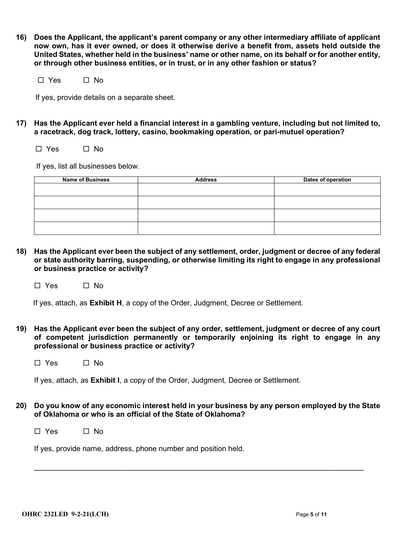16) Does the Applicant, the applicant's parent company or any other intermediary affiliate of applicant now own, has it ever owned, or does it otherwise derive a benefit from, assets held outside the United States, whether held in the business' name or other name, on its behalf or for another entity, or through other business entities, or in trust, or in any other fashion or status?

 $\Box$  Yes  $\Box$  No

If yes, provide details on a separate sheet.

17) Has the Applicant ever held a financial interest in a gambling venture, including but not limited to, a racetrack, dog track, lottery, casino, bookmaking operation, or pari-mutuel operation?

 $\Box$  Yes  $\Box$  No

If yes, list all businesses below.

| <b>Name of Business</b> | <b>Address</b> | Dates of operation |
|-------------------------|----------------|--------------------|
|                         |                |                    |
|                         |                |                    |
|                         |                |                    |
|                         |                |                    |

18) Has the Applicant ever been the subject of any settlement, order, judgment or decree of any federal or state authority barring, suspending, or otherwise limiting its right to engage in any professional or business practice or activity?

 $\square$  Yes  $\square$  No

If yes, attach, as Exhibit H, a copy of the Order, Judgment, Decree or Settlement.

- 19) Has the Applicant ever been the subject of any order, settlement, judgment or decree of any court of competent jurisdiction permanently or temporarily enjoining its right to engage in any professional or business practice or activity?
	- $\Box$  Yes  $\Box$  No

If yes, attach, as Exhibit I, a copy of the Order, Judgment, Decree or Settlement.

20) Do you know of any economic interest held in your business by any person employed by the State of Oklahoma or who is an official of the State of Oklahoma?

 $\_$  , and the set of the set of the set of the set of the set of the set of the set of the set of the set of the set of the set of the set of the set of the set of the set of the set of the set of the set of the set of th

 $\Box$  Yes  $\Box$  No

If yes, provide name, address, phone number and position held.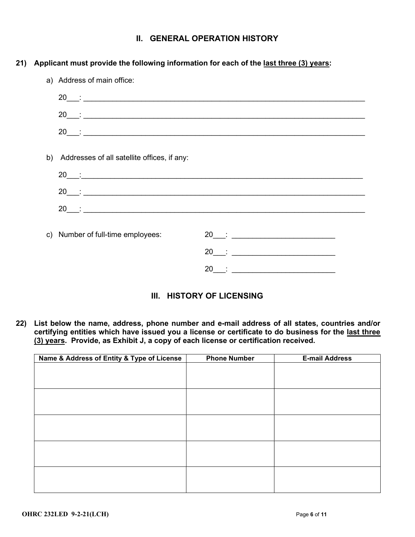## II. GENERAL OPERATION HISTORY

## 21) Applicant must provide the following information for each of the last three (3) years:

| a) Address of main office:                                                                                                                                                                                                                                                                                     |                                                                                                                                                                                                                                                                                                                |
|----------------------------------------------------------------------------------------------------------------------------------------------------------------------------------------------------------------------------------------------------------------------------------------------------------------|----------------------------------------------------------------------------------------------------------------------------------------------------------------------------------------------------------------------------------------------------------------------------------------------------------------|
|                                                                                                                                                                                                                                                                                                                |                                                                                                                                                                                                                                                                                                                |
|                                                                                                                                                                                                                                                                                                                |                                                                                                                                                                                                                                                                                                                |
| $20$ $\qquad$ :                                                                                                                                                                                                                                                                                                |                                                                                                                                                                                                                                                                                                                |
| b) Addresses of all satellite offices, if any:                                                                                                                                                                                                                                                                 |                                                                                                                                                                                                                                                                                                                |
|                                                                                                                                                                                                                                                                                                                |                                                                                                                                                                                                                                                                                                                |
| $20$ $\qquad$ :                                                                                                                                                                                                                                                                                                |                                                                                                                                                                                                                                                                                                                |
| $20$ $\frac{1}{20}$ $\frac{1}{20}$ $\frac{1}{20}$ $\frac{1}{20}$ $\frac{1}{20}$ $\frac{1}{20}$ $\frac{1}{20}$ $\frac{1}{20}$ $\frac{1}{20}$ $\frac{1}{20}$ $\frac{1}{20}$ $\frac{1}{20}$ $\frac{1}{20}$ $\frac{1}{20}$ $\frac{1}{20}$ $\frac{1}{20}$ $\frac{1}{20}$ $\frac{1}{20}$ $\frac{1}{20}$ $\frac{1}{2$ |                                                                                                                                                                                                                                                                                                                |
| c) Number of full-time employees:                                                                                                                                                                                                                                                                              |                                                                                                                                                                                                                                                                                                                |
|                                                                                                                                                                                                                                                                                                                | $20$ $\frac{1}{20}$ $\frac{1}{20}$ $\frac{1}{20}$ $\frac{1}{20}$ $\frac{1}{20}$ $\frac{1}{20}$ $\frac{1}{20}$ $\frac{1}{20}$ $\frac{1}{20}$ $\frac{1}{20}$ $\frac{1}{20}$ $\frac{1}{20}$ $\frac{1}{20}$ $\frac{1}{20}$ $\frac{1}{20}$ $\frac{1}{20}$ $\frac{1}{20}$ $\frac{1}{20}$ $\frac{1}{20}$ $\frac{1}{2$ |
|                                                                                                                                                                                                                                                                                                                | $20$ : $\frac{1}{20}$ : $\frac{1}{20}$ : $\frac{1}{20}$ : $\frac{1}{20}$ : $\frac{1}{20}$ : $\frac{1}{20}$ : $\frac{1}{20}$ : $\frac{1}{20}$ : $\frac{1}{20}$ : $\frac{1}{20}$ : $\frac{1}{20}$ : $\frac{1}{20}$ : $\frac{1}{20}$ : $\frac{1}{20}$ : $\frac{1}{20}$ : $\frac{1}{20}$ : $\frac{1}{$             |

## III. HISTORY OF LICENSING

22) List below the name, address, phone number and e-mail address of all states, countries and/or certifying entities which have issued you a license or certificate to do business for the last three (3) years. Provide, as Exhibit J, a copy of each license or certification received.

| Name & Address of Entity & Type of License | <b>Phone Number</b> | <b>E-mail Address</b> |
|--------------------------------------------|---------------------|-----------------------|
|                                            |                     |                       |
|                                            |                     |                       |
|                                            |                     |                       |
|                                            |                     |                       |
|                                            |                     |                       |
|                                            |                     |                       |
|                                            |                     |                       |
|                                            |                     |                       |
|                                            |                     |                       |
|                                            |                     |                       |
|                                            |                     |                       |
|                                            |                     |                       |
|                                            |                     |                       |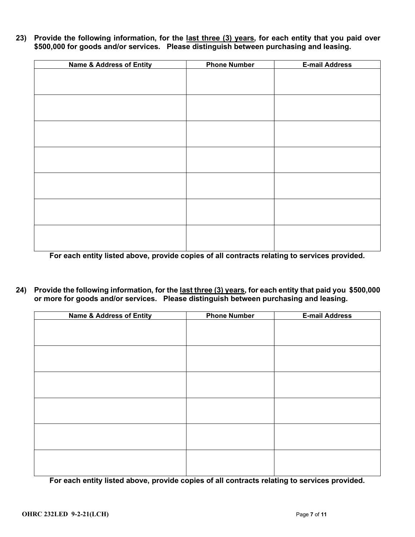23) Provide the following information, for the last three (3) years, for each entity that you paid over \$500,000 for goods and/or services. Please distinguish between purchasing and leasing.

| <b>Name &amp; Address of Entity</b> | <b>Phone Number</b> | <b>E-mail Address</b> |
|-------------------------------------|---------------------|-----------------------|
|                                     |                     |                       |
|                                     |                     |                       |
|                                     |                     |                       |
|                                     |                     |                       |
|                                     |                     |                       |
|                                     |                     |                       |
|                                     |                     |                       |
|                                     |                     |                       |
|                                     |                     |                       |
|                                     |                     |                       |
|                                     |                     |                       |
|                                     |                     |                       |
|                                     |                     |                       |
|                                     |                     |                       |
|                                     |                     |                       |
|                                     |                     |                       |
|                                     |                     |                       |
|                                     |                     |                       |
|                                     |                     |                       |
|                                     |                     |                       |

For each entity listed above, provide copies of all contracts relating to services provided.

24) Provide the following information, for the last three (3) years, for each entity that paid you \$500,000 or more for goods and/or services. Please distinguish between purchasing and leasing.

| <b>Name &amp; Address of Entity</b> | <b>Phone Number</b> | <b>E-mail Address</b> |
|-------------------------------------|---------------------|-----------------------|
|                                     |                     |                       |
|                                     |                     |                       |
|                                     |                     |                       |
|                                     |                     |                       |
|                                     |                     |                       |
|                                     |                     |                       |
|                                     |                     |                       |
|                                     |                     |                       |
|                                     |                     |                       |
|                                     |                     |                       |
|                                     |                     |                       |
|                                     |                     |                       |
|                                     |                     |                       |
|                                     |                     |                       |
|                                     |                     |                       |
|                                     |                     |                       |
|                                     |                     |                       |

For each entity listed above, provide copies of all contracts relating to services provided.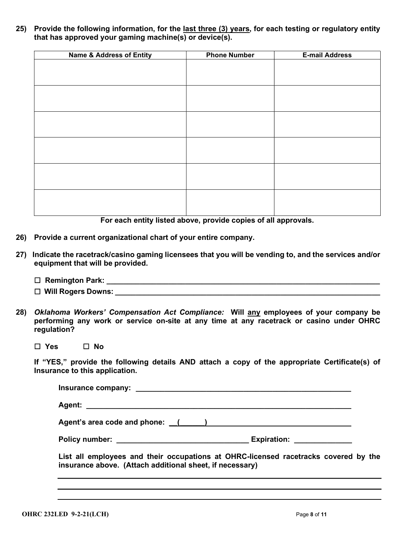25) Provide the following information, for the last three (3) years, for each testing or regulatory entity that has approved your gaming machine(s) or device(s).

| <b>Name &amp; Address of Entity</b> | <b>Phone Number</b> |  |
|-------------------------------------|---------------------|--|
|                                     |                     |  |
|                                     |                     |  |
|                                     |                     |  |
|                                     |                     |  |
|                                     |                     |  |
|                                     |                     |  |
|                                     |                     |  |
|                                     |                     |  |
|                                     |                     |  |
|                                     |                     |  |
|                                     |                     |  |
|                                     |                     |  |
|                                     |                     |  |
|                                     |                     |  |
|                                     |                     |  |
|                                     |                     |  |
|                                     |                     |  |
|                                     |                     |  |

For each entity listed above, provide copies of all approvals.

- 26) Provide a current organizational chart of your entire company.
- 27) Indicate the racetrack/casino gaming licensees that you will be vending to, and the services and/or equipment that will be provided.
	- Remington Park: \_\_\_\_\_\_\_\_\_\_\_\_\_\_\_\_\_\_\_\_\_\_\_\_\_\_\_\_\_\_\_\_\_\_\_\_\_\_\_\_\_\_\_\_\_\_\_\_\_\_\_\_\_\_\_\_\_\_\_\_\_\_\_\_\_\_
	- Will Rogers Downs: \_\_\_\_\_\_\_\_\_\_\_\_\_\_\_\_\_\_\_\_\_\_\_\_\_\_\_\_\_\_\_\_\_\_\_\_\_\_\_\_\_\_\_\_\_\_\_\_\_\_\_\_\_\_\_\_\_\_\_\_\_\_\_\_
- 28) Oklahoma Workers' Compensation Act Compliance: Will any employees of your company be performing any work or service on-site at any time at any racetrack or casino under OHRC regulation?

□ Yes □ No

If "YES," provide the following details AND attach a copy of the appropriate Certificate(s) of Insurance to this application.

| Agent's area code and phone: (i) and in the set of the set of the set of the set of the set of the set of the set of the set of the set of the set of the set of the set of the set of the set of the set of the set of the se |
|--------------------------------------------------------------------------------------------------------------------------------------------------------------------------------------------------------------------------------|
| Expiration: Expiration:                                                                                                                                                                                                        |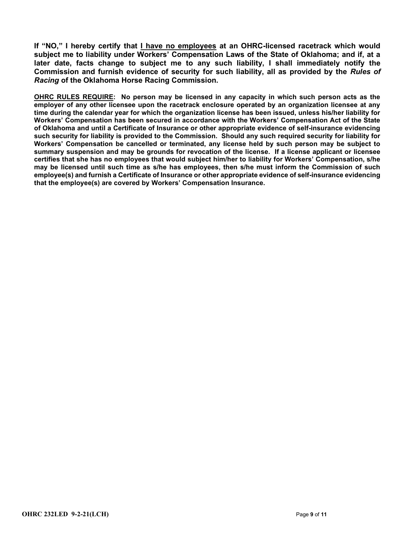If "NO," I hereby certify that I have no employees at an OHRC-licensed racetrack which would subject me to liability under Workers' Compensation Laws of the State of Oklahoma; and if, at a later date, facts change to subject me to any such liability, I shall immediately notify the Commission and furnish evidence of security for such liability, all as provided by the Rules of Racing of the Oklahoma Horse Racing Commission.

OHRC RULES REQUIRE: No person may be licensed in any capacity in which such person acts as the employer of any other licensee upon the racetrack enclosure operated by an organization licensee at any time during the calendar year for which the organization license has been issued, unless his/her liability for Workers' Compensation has been secured in accordance with the Workers' Compensation Act of the State of Oklahoma and until a Certificate of Insurance or other appropriate evidence of self-insurance evidencing such security for liability is provided to the Commission. Should any such required security for liability for Workers' Compensation be cancelled or terminated, any license held by such person may be subject to summary suspension and may be grounds for revocation of the license. If a license applicant or licensee certifies that she has no employees that would subject him/her to liability for Workers' Compensation, s/he may be licensed until such time as s/he has employees, then s/he must inform the Commission of such employee(s) and furnish a Certificate of Insurance or other appropriate evidence of self-insurance evidencing that the employee(s) are covered by Workers' Compensation Insurance.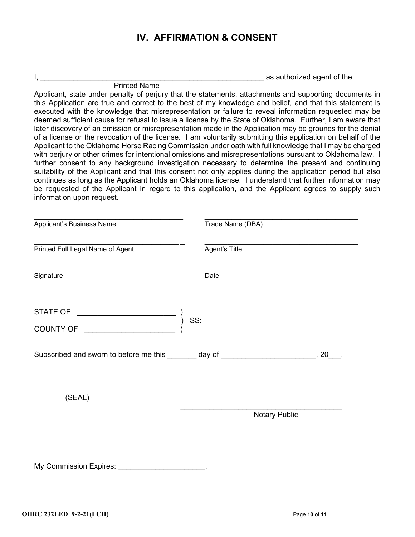# IV. AFFIRMATION & CONSENT

 $I$ ,  $\blacksquare$ 

 Printed Name Applicant, state under penalty of perjury that the statements, attachments and supporting documents in this Application are true and correct to the best of my knowledge and belief, and that this statement is executed with the knowledge that misrepresentation or failure to reveal information requested may be deemed sufficient cause for refusal to issue a license by the State of Oklahoma. Further, I am aware that later discovery of an omission or misrepresentation made in the Application may be grounds for the denial of a license or the revocation of the license. I am voluntarily submitting this application on behalf of the Applicant to the Oklahoma Horse Racing Commission under oath with full knowledge that I may be charged with perjury or other crimes for intentional omissions and misrepresentations pursuant to Oklahoma law. I further consent to any background investigation necessary to determine the present and continuing suitability of the Applicant and that this consent not only applies during the application period but also continues as long as the Applicant holds an Oklahoma license. I understand that further information may be requested of the Applicant in regard to this application, and the Applicant agrees to supply such information upon request.

| Applicant's Business Name                                                            | Trade Name (DBA)     |  |
|--------------------------------------------------------------------------------------|----------------------|--|
| Printed Full Legal Name of Agent                                                     | Agent's Title        |  |
| Signature                                                                            | Date                 |  |
|                                                                                      | SS:                  |  |
|                                                                                      |                      |  |
| Subscribed and sworn to before me this _______ day of _________________________, 20_ |                      |  |
| (SEAL)                                                                               |                      |  |
|                                                                                      | <b>Notary Public</b> |  |
|                                                                                      |                      |  |
| My Commission Expires: Value 2014                                                    |                      |  |